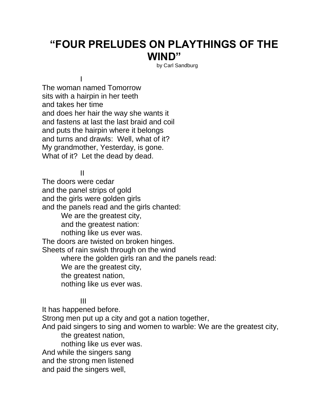## **"FOUR PRELUDES ON PLAYTHINGS OF THE WIND"**

by Carl Sandburg

The woman named Tomorrow sits with a hairpin in her teeth and takes her time and does her hair the way she wants it and fastens at last the last braid and coil and puts the hairpin where it belongs and turns and drawls: Well, what of it? My grandmother, Yesterday, is gone. What of it? Let the dead by dead.

II

I

The doors were cedar and the panel strips of gold and the girls were golden girls and the panels read and the girls chanted: We are the greatest city, and the greatest nation: nothing like us ever was. The doors are twisted on broken hinges. Sheets of rain swish through on the wind where the golden girls ran and the panels read: We are the greatest city, the greatest nation, nothing like us ever was.

III

It has happened before. Strong men put up a city and got a nation together, And paid singers to sing and women to warble: We are the greatest city, the greatest nation, nothing like us ever was. And while the singers sang and the strong men listened and paid the singers well,